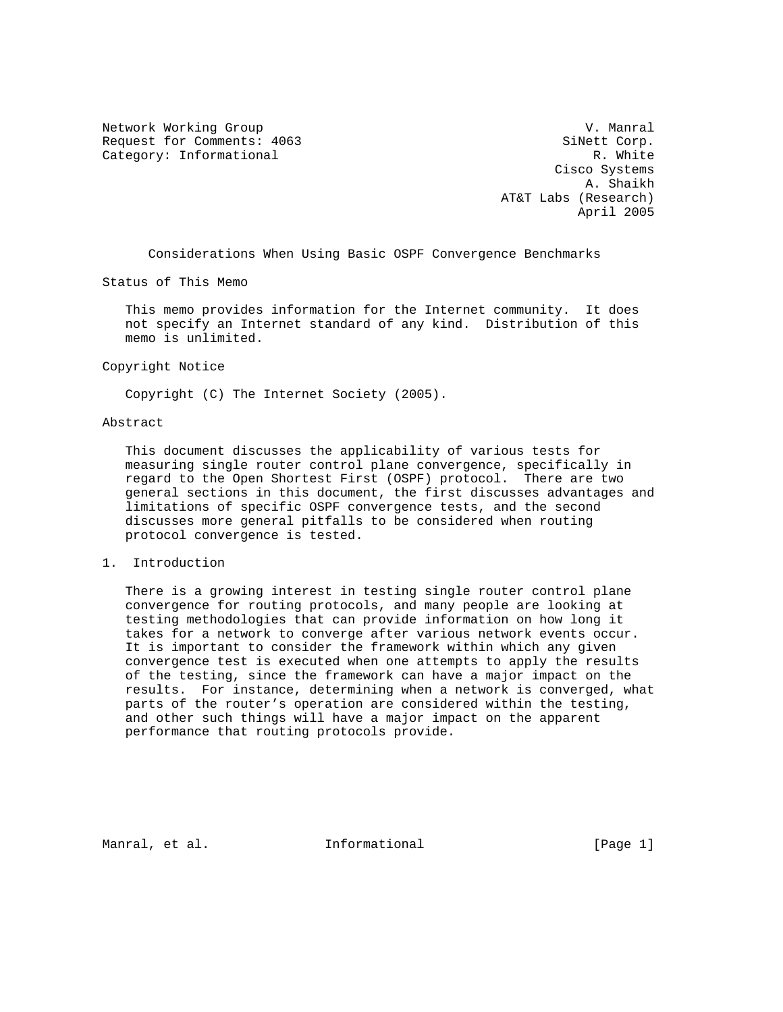Network Working Group and Communications of the V. Manral Request for Comments: 4063 SiNett Corp. Category: Informational R. White

 Cisco Systems A. Shaikh AT&T Labs (Research) April 2005

Considerations When Using Basic OSPF Convergence Benchmarks

Status of This Memo

 This memo provides information for the Internet community. It does not specify an Internet standard of any kind. Distribution of this memo is unlimited.

Copyright Notice

Copyright (C) The Internet Society (2005).

## Abstract

 This document discusses the applicability of various tests for measuring single router control plane convergence, specifically in regard to the Open Shortest First (OSPF) protocol. There are two general sections in this document, the first discusses advantages and limitations of specific OSPF convergence tests, and the second discusses more general pitfalls to be considered when routing protocol convergence is tested.

## 1. Introduction

 There is a growing interest in testing single router control plane convergence for routing protocols, and many people are looking at testing methodologies that can provide information on how long it takes for a network to converge after various network events occur. It is important to consider the framework within which any given convergence test is executed when one attempts to apply the results of the testing, since the framework can have a major impact on the results. For instance, determining when a network is converged, what parts of the router's operation are considered within the testing, and other such things will have a major impact on the apparent performance that routing protocols provide.

Manral, et al. **Informational** [Page 1]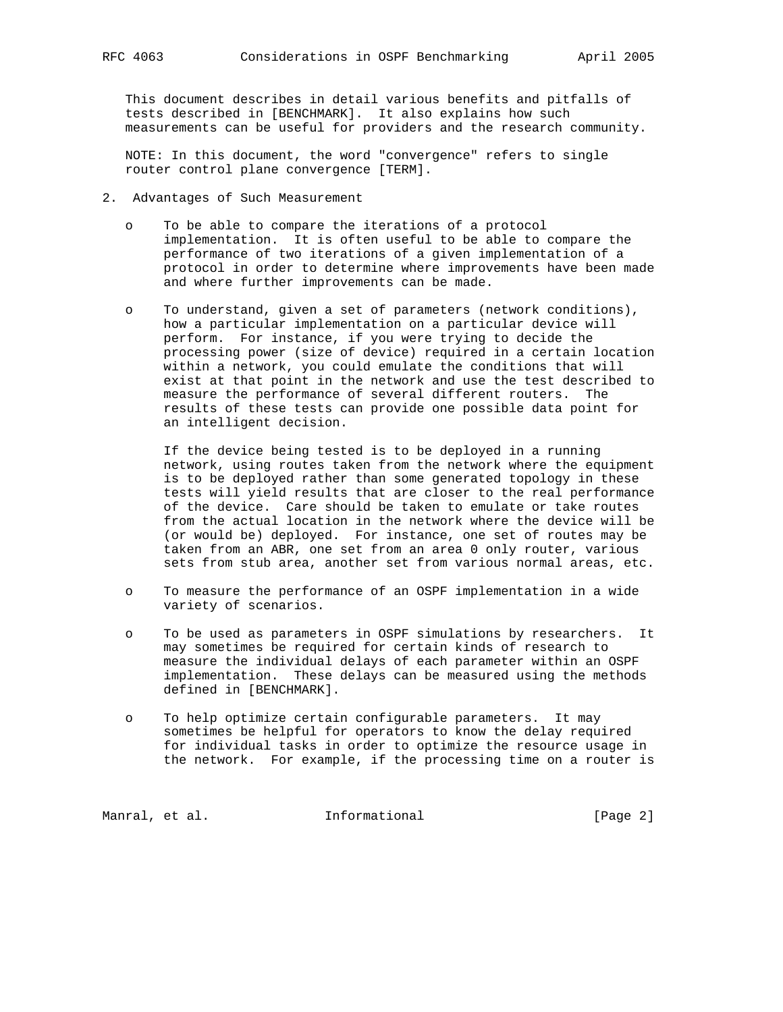This document describes in detail various benefits and pitfalls of tests described in [BENCHMARK]. It also explains how such measurements can be useful for providers and the research community.

 NOTE: In this document, the word "convergence" refers to single router control plane convergence [TERM].

- 2. Advantages of Such Measurement
	- o To be able to compare the iterations of a protocol implementation. It is often useful to be able to compare the performance of two iterations of a given implementation of a protocol in order to determine where improvements have been made and where further improvements can be made.
	- o To understand, given a set of parameters (network conditions), how a particular implementation on a particular device will perform. For instance, if you were trying to decide the processing power (size of device) required in a certain location within a network, you could emulate the conditions that will exist at that point in the network and use the test described to measure the performance of several different routers. The results of these tests can provide one possible data point for an intelligent decision.

 If the device being tested is to be deployed in a running network, using routes taken from the network where the equipment is to be deployed rather than some generated topology in these tests will yield results that are closer to the real performance of the device. Care should be taken to emulate or take routes from the actual location in the network where the device will be (or would be) deployed. For instance, one set of routes may be taken from an ABR, one set from an area 0 only router, various sets from stub area, another set from various normal areas, etc.

- o To measure the performance of an OSPF implementation in a wide variety of scenarios.
- o To be used as parameters in OSPF simulations by researchers. It may sometimes be required for certain kinds of research to measure the individual delays of each parameter within an OSPF implementation. These delays can be measured using the methods defined in [BENCHMARK].
- o To help optimize certain configurable parameters. It may sometimes be helpful for operators to know the delay required for individual tasks in order to optimize the resource usage in the network. For example, if the processing time on a router is

Manral, et al. 1nformational 1999 [Page 2]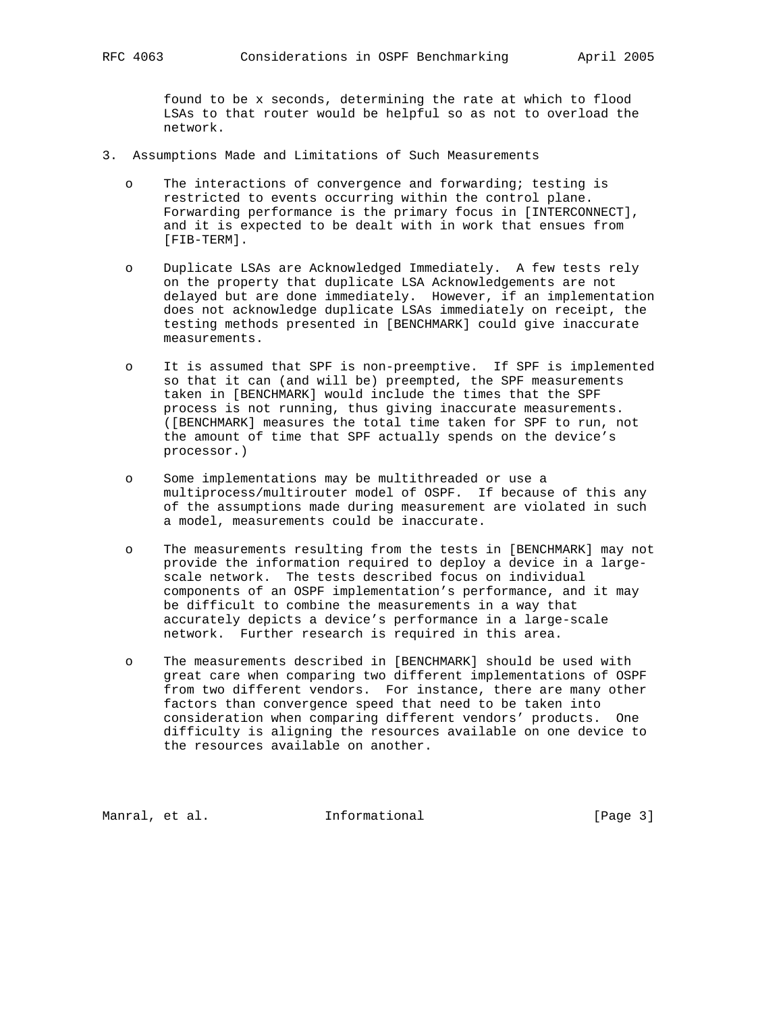found to be x seconds, determining the rate at which to flood LSAs to that router would be helpful so as not to overload the network.

- 3. Assumptions Made and Limitations of Such Measurements
	- o The interactions of convergence and forwarding; testing is restricted to events occurring within the control plane. Forwarding performance is the primary focus in [INTERCONNECT], and it is expected to be dealt with in work that ensues from [FIB-TERM].
	- o Duplicate LSAs are Acknowledged Immediately. A few tests rely on the property that duplicate LSA Acknowledgements are not delayed but are done immediately. However, if an implementation does not acknowledge duplicate LSAs immediately on receipt, the testing methods presented in [BENCHMARK] could give inaccurate measurements.
	- o It is assumed that SPF is non-preemptive. If SPF is implemented so that it can (and will be) preempted, the SPF measurements taken in [BENCHMARK] would include the times that the SPF process is not running, thus giving inaccurate measurements. ([BENCHMARK] measures the total time taken for SPF to run, not the amount of time that SPF actually spends on the device's processor.)
	- o Some implementations may be multithreaded or use a multiprocess/multirouter model of OSPF. If because of this any of the assumptions made during measurement are violated in such a model, measurements could be inaccurate.
	- o The measurements resulting from the tests in [BENCHMARK] may not provide the information required to deploy a device in a large scale network. The tests described focus on individual components of an OSPF implementation's performance, and it may be difficult to combine the measurements in a way that accurately depicts a device's performance in a large-scale network. Further research is required in this area.
	- o The measurements described in [BENCHMARK] should be used with great care when comparing two different implementations of OSPF from two different vendors. For instance, there are many other factors than convergence speed that need to be taken into consideration when comparing different vendors' products. One difficulty is aligning the resources available on one device to the resources available on another.

Manral, et al. 1nformational 1999 [Page 3]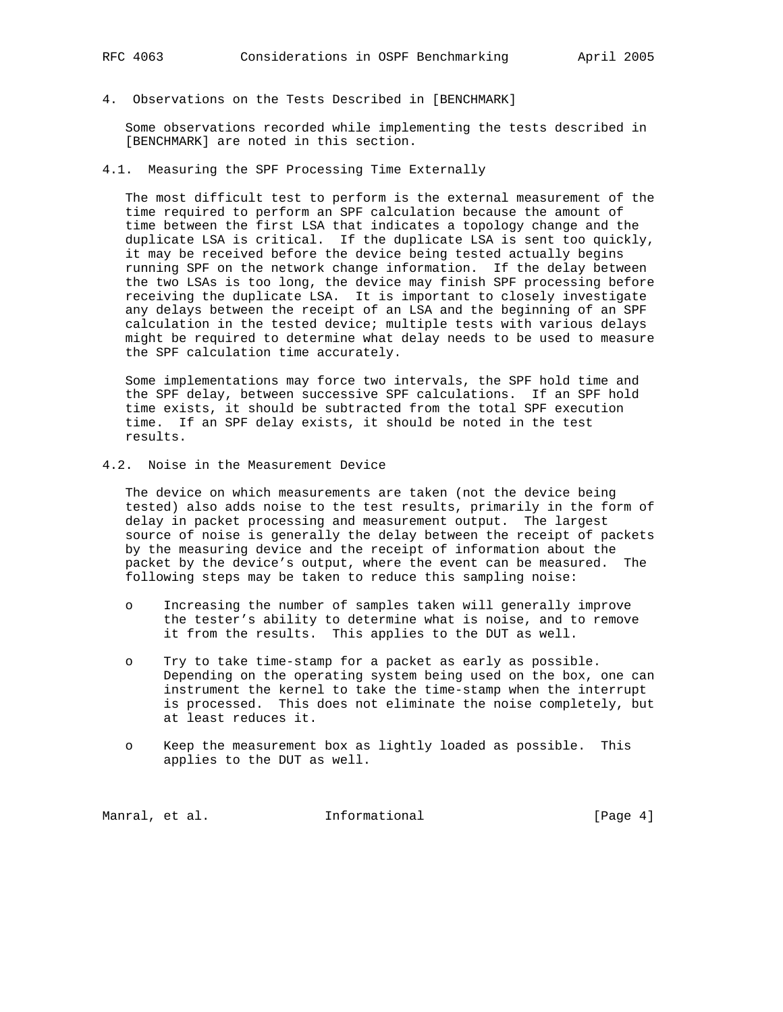4. Observations on the Tests Described in [BENCHMARK]

 Some observations recorded while implementing the tests described in [BENCHMARK] are noted in this section.

4.1. Measuring the SPF Processing Time Externally

 The most difficult test to perform is the external measurement of the time required to perform an SPF calculation because the amount of time between the first LSA that indicates a topology change and the duplicate LSA is critical. If the duplicate LSA is sent too quickly, it may be received before the device being tested actually begins running SPF on the network change information. If the delay between the two LSAs is too long, the device may finish SPF processing before receiving the duplicate LSA. It is important to closely investigate any delays between the receipt of an LSA and the beginning of an SPF calculation in the tested device; multiple tests with various delays might be required to determine what delay needs to be used to measure the SPF calculation time accurately.

 Some implementations may force two intervals, the SPF hold time and the SPF delay, between successive SPF calculations. If an SPF hold time exists, it should be subtracted from the total SPF execution time. If an SPF delay exists, it should be noted in the test results.

4.2. Noise in the Measurement Device

 The device on which measurements are taken (not the device being tested) also adds noise to the test results, primarily in the form of delay in packet processing and measurement output. The largest source of noise is generally the delay between the receipt of packets by the measuring device and the receipt of information about the packet by the device's output, where the event can be measured. The following steps may be taken to reduce this sampling noise:

- o Increasing the number of samples taken will generally improve the tester's ability to determine what is noise, and to remove it from the results. This applies to the DUT as well.
- o Try to take time-stamp for a packet as early as possible. Depending on the operating system being used on the box, one can instrument the kernel to take the time-stamp when the interrupt is processed. This does not eliminate the noise completely, but at least reduces it.
- o Keep the measurement box as lightly loaded as possible. This applies to the DUT as well.

Manral, et al. 1nformational 1999 [Page 4]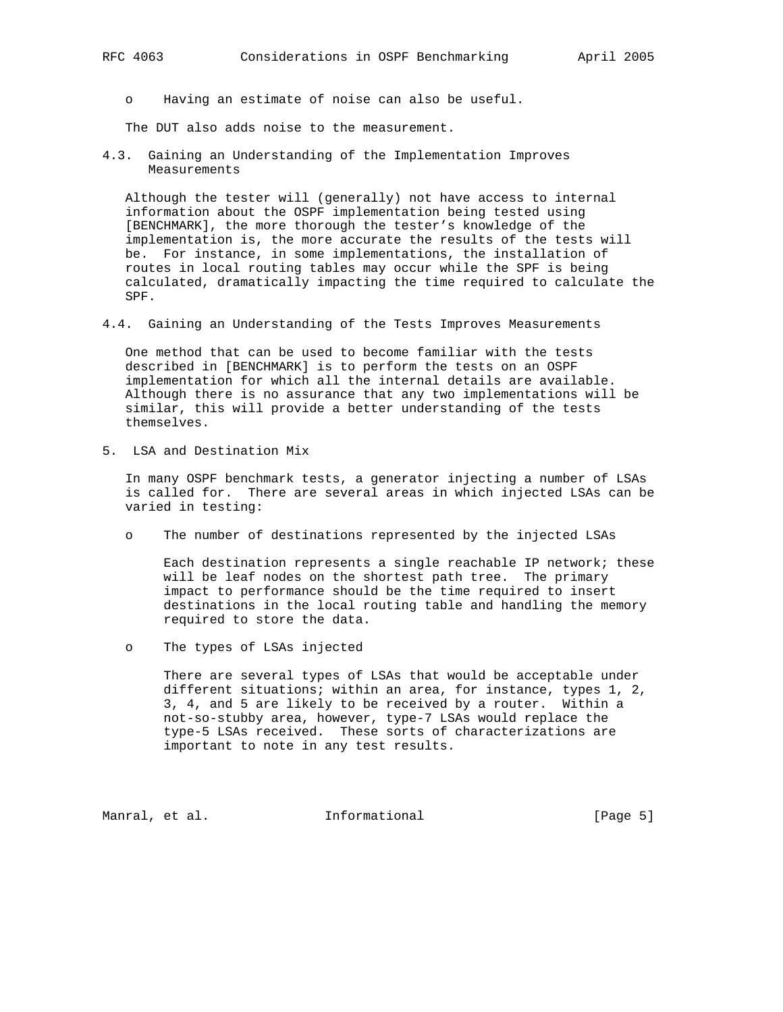o Having an estimate of noise can also be useful.

The DUT also adds noise to the measurement.

4.3. Gaining an Understanding of the Implementation Improves Measurements

 Although the tester will (generally) not have access to internal information about the OSPF implementation being tested using [BENCHMARK], the more thorough the tester's knowledge of the implementation is, the more accurate the results of the tests will be. For instance, in some implementations, the installation of routes in local routing tables may occur while the SPF is being calculated, dramatically impacting the time required to calculate the SPF.

4.4. Gaining an Understanding of the Tests Improves Measurements

 One method that can be used to become familiar with the tests described in [BENCHMARK] is to perform the tests on an OSPF implementation for which all the internal details are available. Although there is no assurance that any two implementations will be similar, this will provide a better understanding of the tests themselves.

5. LSA and Destination Mix

 In many OSPF benchmark tests, a generator injecting a number of LSAs is called for. There are several areas in which injected LSAs can be varied in testing:

o The number of destinations represented by the injected LSAs

 Each destination represents a single reachable IP network; these will be leaf nodes on the shortest path tree. The primary impact to performance should be the time required to insert destinations in the local routing table and handling the memory required to store the data.

o The types of LSAs injected

 There are several types of LSAs that would be acceptable under different situations; within an area, for instance, types 1, 2, 3, 4, and 5 are likely to be received by a router. Within a not-so-stubby area, however, type-7 LSAs would replace the type-5 LSAs received. These sorts of characterizations are important to note in any test results.

Manral, et al. **Informational** [Page 5]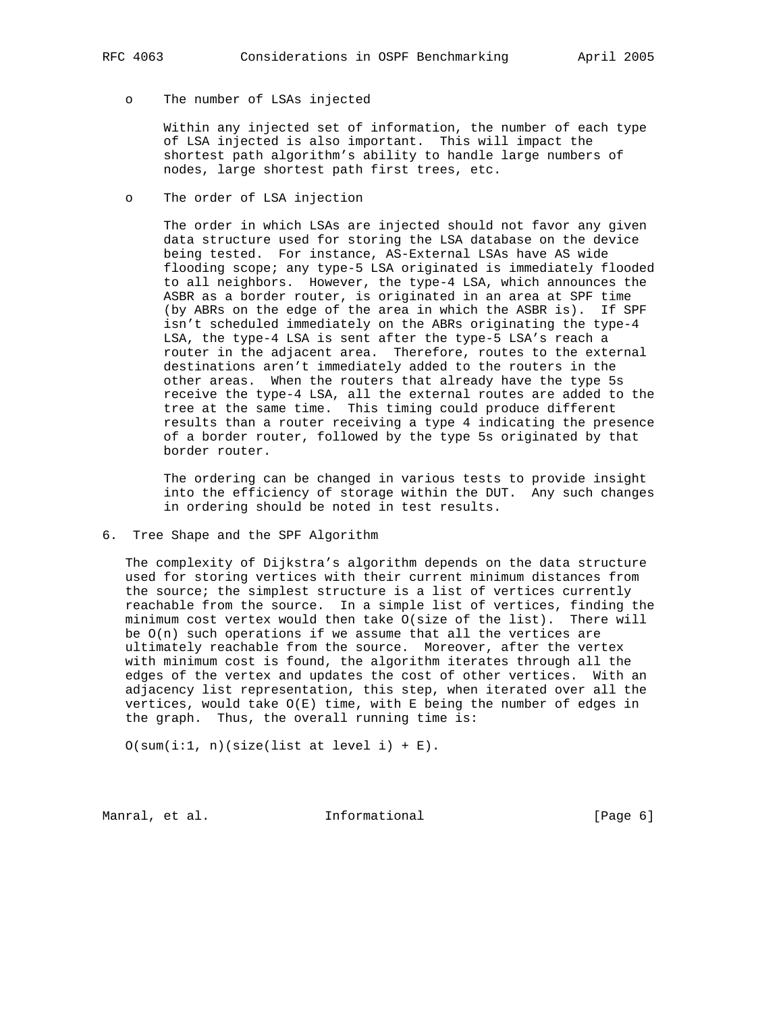## o The number of LSAs injected

 Within any injected set of information, the number of each type of LSA injected is also important. This will impact the shortest path algorithm's ability to handle large numbers of nodes, large shortest path first trees, etc.

o The order of LSA injection

 The order in which LSAs are injected should not favor any given data structure used for storing the LSA database on the device being tested. For instance, AS-External LSAs have AS wide flooding scope; any type-5 LSA originated is immediately flooded to all neighbors. However, the type-4 LSA, which announces the ASBR as a border router, is originated in an area at SPF time (by ABRs on the edge of the area in which the ASBR is). If SPF isn't scheduled immediately on the ABRs originating the type-4 LSA, the type-4 LSA is sent after the type-5 LSA's reach a router in the adjacent area. Therefore, routes to the external destinations aren't immediately added to the routers in the other areas. When the routers that already have the type 5s receive the type-4 LSA, all the external routes are added to the tree at the same time. This timing could produce different results than a router receiving a type 4 indicating the presence of a border router, followed by the type 5s originated by that border router.

 The ordering can be changed in various tests to provide insight into the efficiency of storage within the DUT. Any such changes in ordering should be noted in test results.

6. Tree Shape and the SPF Algorithm

 The complexity of Dijkstra's algorithm depends on the data structure used for storing vertices with their current minimum distances from the source; the simplest structure is a list of vertices currently reachable from the source. In a simple list of vertices, finding the minimum cost vertex would then take O(size of the list). There will be  $O(n)$  such operations if we assume that all the vertices are ultimately reachable from the source. Moreover, after the vertex with minimum cost is found, the algorithm iterates through all the edges of the vertex and updates the cost of other vertices. With an adjacency list representation, this step, when iterated over all the vertices, would take O(E) time, with E being the number of edges in the graph. Thus, the overall running time is:

 $O(sum(i:1, n)(size(list at level i) + E).$ 

Manral, et al. **Informational** [Page 6]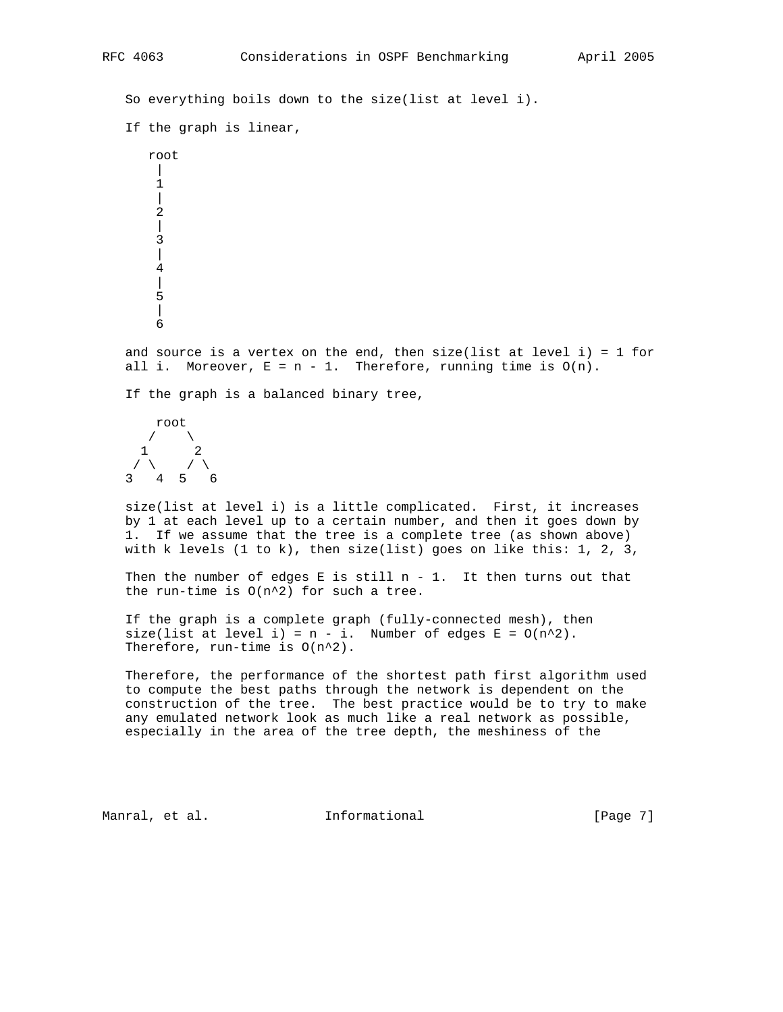So everything boils down to the size(list at level i). If the graph is linear, root  $\Box$  1  $\blacksquare$  2 | 3 | 4  $\overline{\phantom{a}}$  5 | 6 and source is a vertex on the end, then size(list at level i) = 1 for all i. Moreover,  $E = n - 1$ . Therefore, running time is  $O(n)$ . If the graph is a balanced binary tree, root  $\sqrt{2}$  1 2  $\prime$   $\prime$   $\prime$   $\prime$   $\prime$  3 4 5 6 size(list at level i) is a little complicated. First, it increases by 1 at each level up to a certain number, and then it goes down by 1. If we assume that the tree is a complete tree (as shown above) with k levels  $(1 to k)$ , then size(list) goes on like this: 1, 2, 3, Then the number of edges E is still  $n - 1$ . It then turns out that the run-time is  $O(n^2)$  for such a tree. If the graph is a complete graph (fully-connected mesh), then  $size(list at level i) = n - i.$  Number of edges  $E = O(n^2).$  Therefore, run-time is O(n^2). Therefore, the performance of the shortest path first algorithm used to compute the best paths through the network is dependent on the construction of the tree. The best practice would be to try to make any emulated network look as much like a real network as possible, especially in the area of the tree depth, the meshiness of the Manral, et al. **Informational** [Page 7]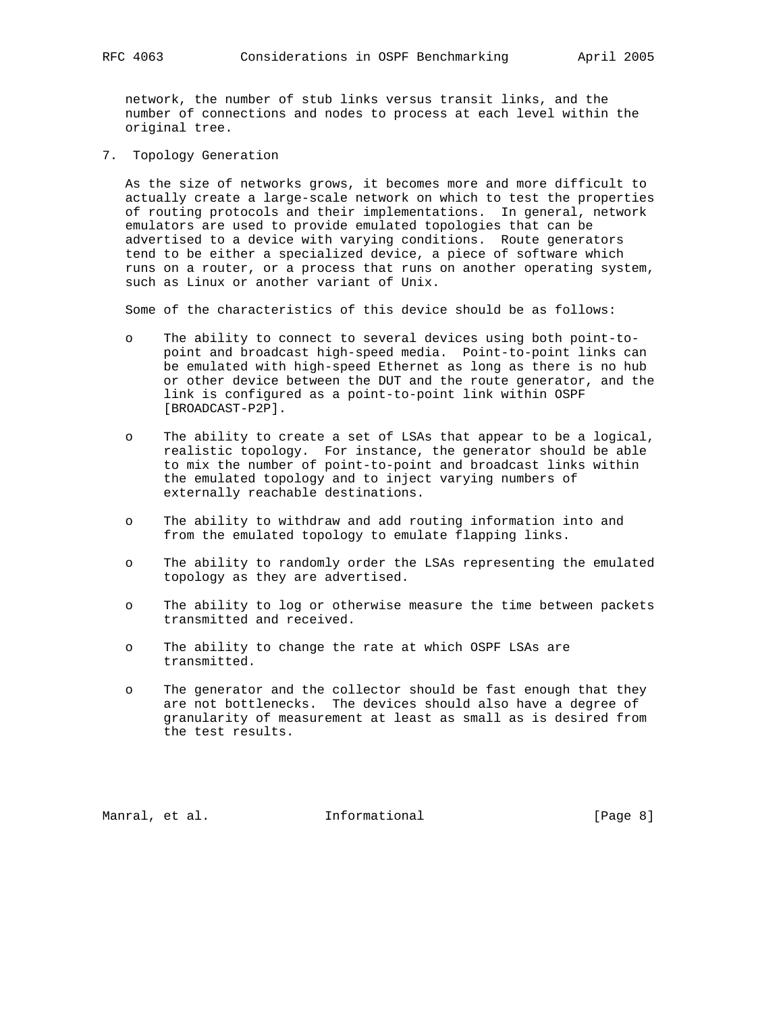network, the number of stub links versus transit links, and the number of connections and nodes to process at each level within the original tree.

7. Topology Generation

 As the size of networks grows, it becomes more and more difficult to actually create a large-scale network on which to test the properties of routing protocols and their implementations. In general, network emulators are used to provide emulated topologies that can be advertised to a device with varying conditions. Route generators tend to be either a specialized device, a piece of software which runs on a router, or a process that runs on another operating system, such as Linux or another variant of Unix.

Some of the characteristics of this device should be as follows:

- o The ability to connect to several devices using both point-to point and broadcast high-speed media. Point-to-point links can be emulated with high-speed Ethernet as long as there is no hub or other device between the DUT and the route generator, and the link is configured as a point-to-point link within OSPF [BROADCAST-P2P].
- o The ability to create a set of LSAs that appear to be a logical, realistic topology. For instance, the generator should be able to mix the number of point-to-point and broadcast links within the emulated topology and to inject varying numbers of externally reachable destinations.
- o The ability to withdraw and add routing information into and from the emulated topology to emulate flapping links.
- o The ability to randomly order the LSAs representing the emulated topology as they are advertised.
- o The ability to log or otherwise measure the time between packets transmitted and received.
- o The ability to change the rate at which OSPF LSAs are transmitted.
- o The generator and the collector should be fast enough that they are not bottlenecks. The devices should also have a degree of granularity of measurement at least as small as is desired from the test results.

Manral, et al. **Informational** [Page 8]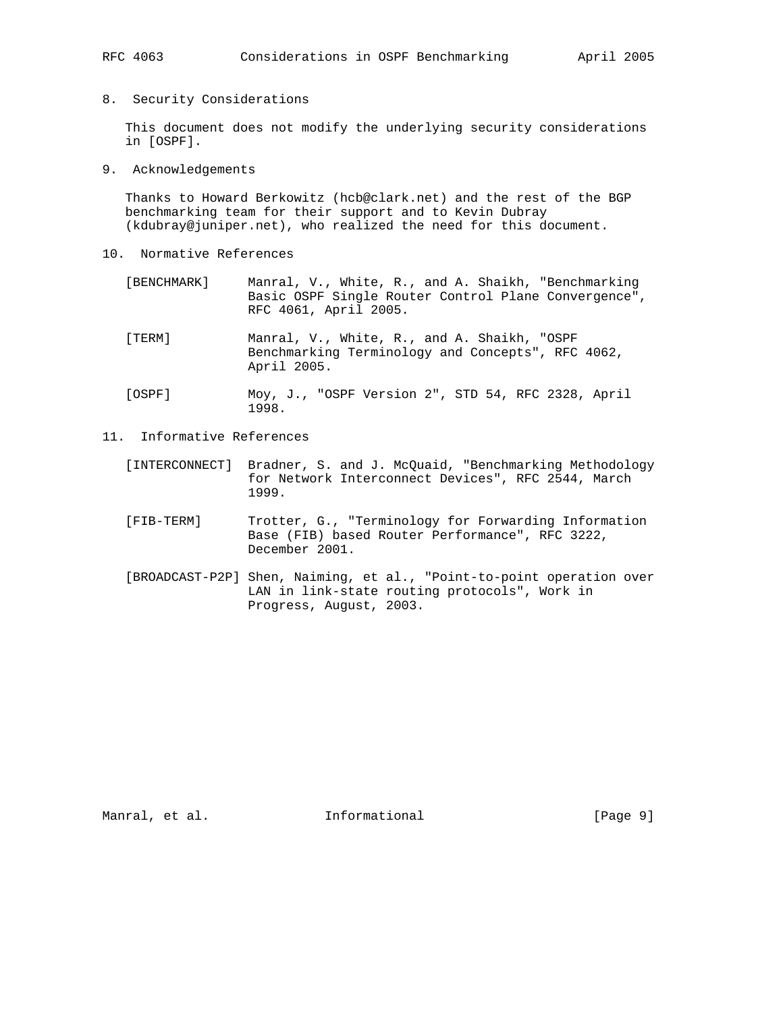8. Security Considerations

 This document does not modify the underlying security considerations in [OSPF].

9. Acknowledgements

 Thanks to Howard Berkowitz (hcb@clark.net) and the rest of the BGP benchmarking team for their support and to Kevin Dubray (kdubray@juniper.net), who realized the need for this document.

- 10. Normative References
	- [BENCHMARK] Manral, V., White, R., and A. Shaikh, "Benchmarking Basic OSPF Single Router Control Plane Convergence", RFC 4061, April 2005.
	- [TERM] Manral, V., White, R., and A. Shaikh, "OSPF Benchmarking Terminology and Concepts", RFC 4062, April 2005.
	- [OSPF] Moy, J., "OSPF Version 2", STD 54, RFC 2328, April 1998.
- 11. Informative References
	- [INTERCONNECT] Bradner, S. and J. McQuaid, "Benchmarking Methodology for Network Interconnect Devices", RFC 2544, March 1999.
	- [FIB-TERM] Trotter, G., "Terminology for Forwarding Information Base (FIB) based Router Performance", RFC 3222, December 2001.
	- [BROADCAST-P2P] Shen, Naiming, et al., "Point-to-point operation over LAN in link-state routing protocols", Work in Progress, August, 2003.

Manral, et al. 1nformational 1999 [Page 9]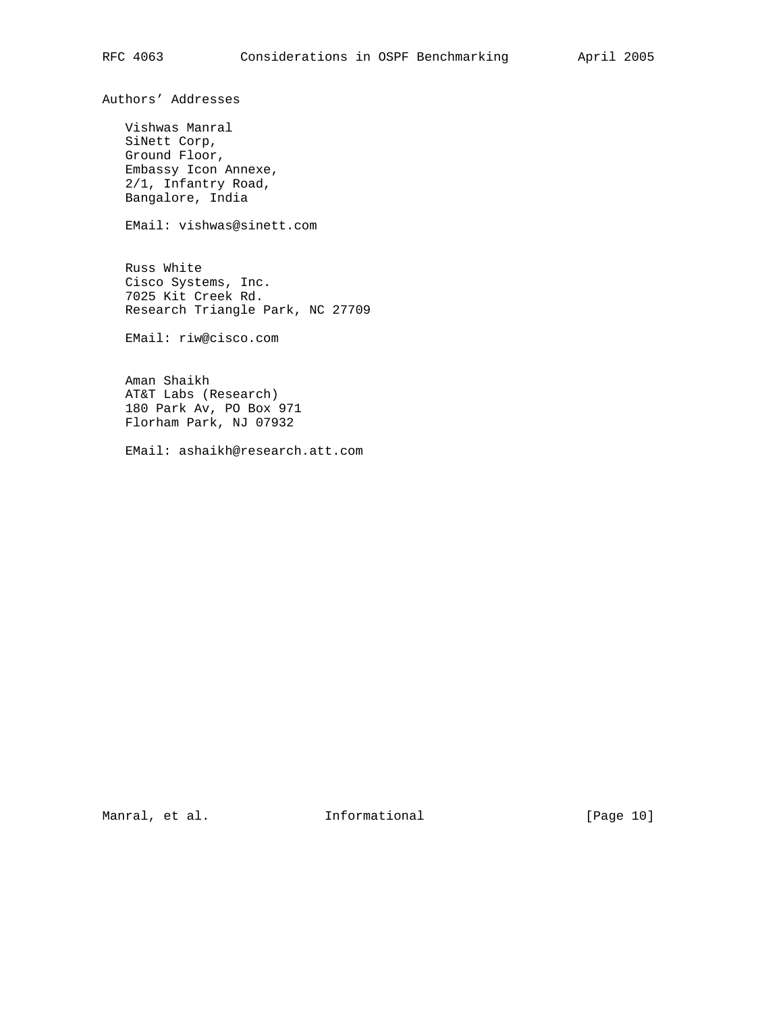Authors' Addresses

 Vishwas Manral SiNett Corp, Ground Floor, Embassy Icon Annexe, 2/1, Infantry Road, Bangalore, India

EMail: vishwas@sinett.com

 Russ White Cisco Systems, Inc. 7025 Kit Creek Rd. Research Triangle Park, NC 27709

EMail: riw@cisco.com

 Aman Shaikh AT&T Labs (Research) 180 Park Av, PO Box 971 Florham Park, NJ 07932

EMail: ashaikh@research.att.com

Manral, et al. 10 Informational 1999 [Page 10]